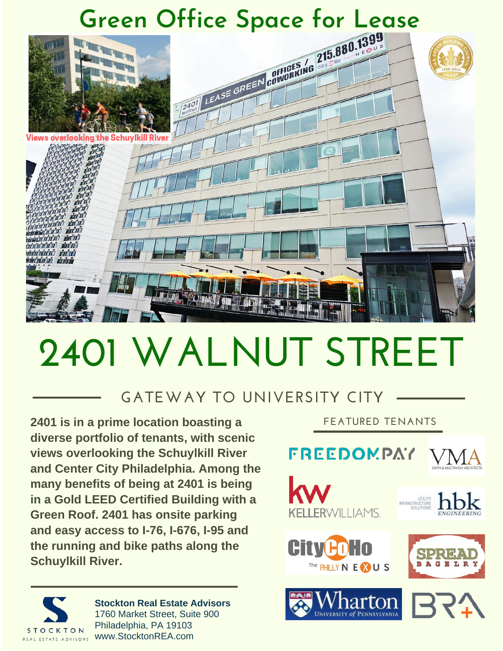

# **2401 WALNUT STREET**

### **GATEWAY TO UNIVERSITY CITY**

**2401 is in a prime location boasting a diverse portfolio of tenants, with scenic views overlooking the Schuylkill River and Center City Philadelphia. Among the many benefits of being at 2401 is being in a Gold LEED Certified Building with a Green Roof. 2401 has onsite parking and easy access to I-76, I-676, I-95 and the running and bike paths along the Schuylkill River.**

**FEATURED TENANTS**

#### **FREEDOMPAY** VMA













**Stockton Real Estate Advisors** 1760 Market Street, Suite 900 Philadelphia, PA 19103 www.StocktonREA.com